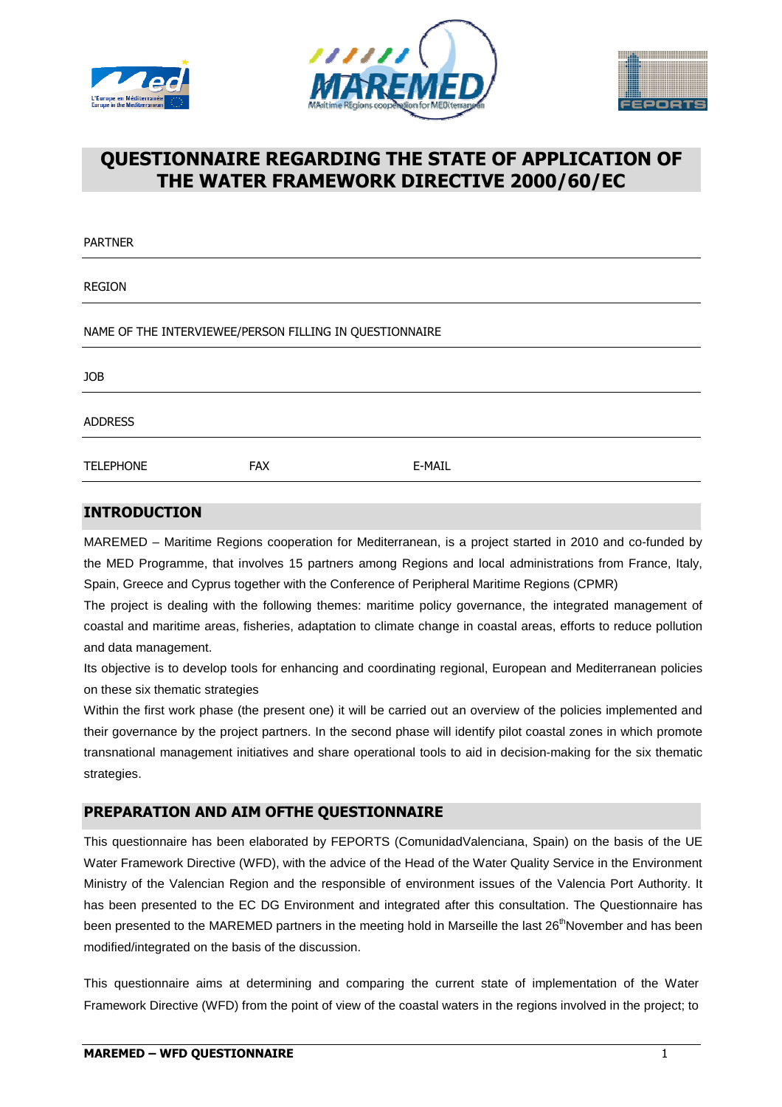





# **QUESTIONNAIRE REGARDING THE STATE OF APPLICATION OF THE WATER FRAMEWORK DIRECTIVE 2000/60/EC**

| <b>PARTNER</b>                                          |            |        |  |
|---------------------------------------------------------|------------|--------|--|
| <b>REGION</b>                                           |            |        |  |
| NAME OF THE INTERVIEWEE/PERSON FILLING IN QUESTIONNAIRE |            |        |  |
| <b>JOB</b>                                              |            |        |  |
| <b>ADDRESS</b>                                          |            |        |  |
| <b>TELEPHONE</b>                                        | <b>FAX</b> | E-MAIL |  |
|                                                         |            |        |  |

#### **INTRODUCTION**

MAREMED – Maritime Regions cooperation for Mediterranean, is a project started in 2010 and co-funded by the MED Programme, that involves 15 partners among Regions and local administrations from France, Italy, Spain, Greece and Cyprus together with the Conference of Peripheral Maritime Regions (CPMR)

The project is dealing with the following themes: maritime policy governance, the integrated management of coastal and maritime areas, fisheries, adaptation to climate change in coastal areas, efforts to reduce pollution and data management.

Its objective is to develop tools for enhancing and coordinating regional, European and Mediterranean policies on these six thematic strategies

Within the first work phase (the present one) it will be carried out an overview of the policies implemented and their governance by the project partners. In the second phase will identify pilot coastal zones in which promote transnational management initiatives and share operational tools to aid in decision-making for the six thematic strategies.

### **PREPARATION AND AIM OFTHE QUESTIONNAIRE**

This questionnaire has been elaborated by FEPORTS (ComunidadValenciana, Spain) on the basis of the UE Water Framework Directive (WFD), with the advice of the Head of the Water Quality Service in the Environment Ministry of the Valencian Region and the responsible of environment issues of the Valencia Port Authority. It has been presented to the EC DG Environment and integrated after this consultation. The Questionnaire has been presented to the MAREMED partners in the meeting hold in Marseille the last 26<sup>th</sup>November and has been modified/integrated on the basis of the discussion.

This questionnaire aims at determining and comparing the current state of implementation of the Water Framework Directive (WFD) from the point of view of the coastal waters in the regions involved in the project; to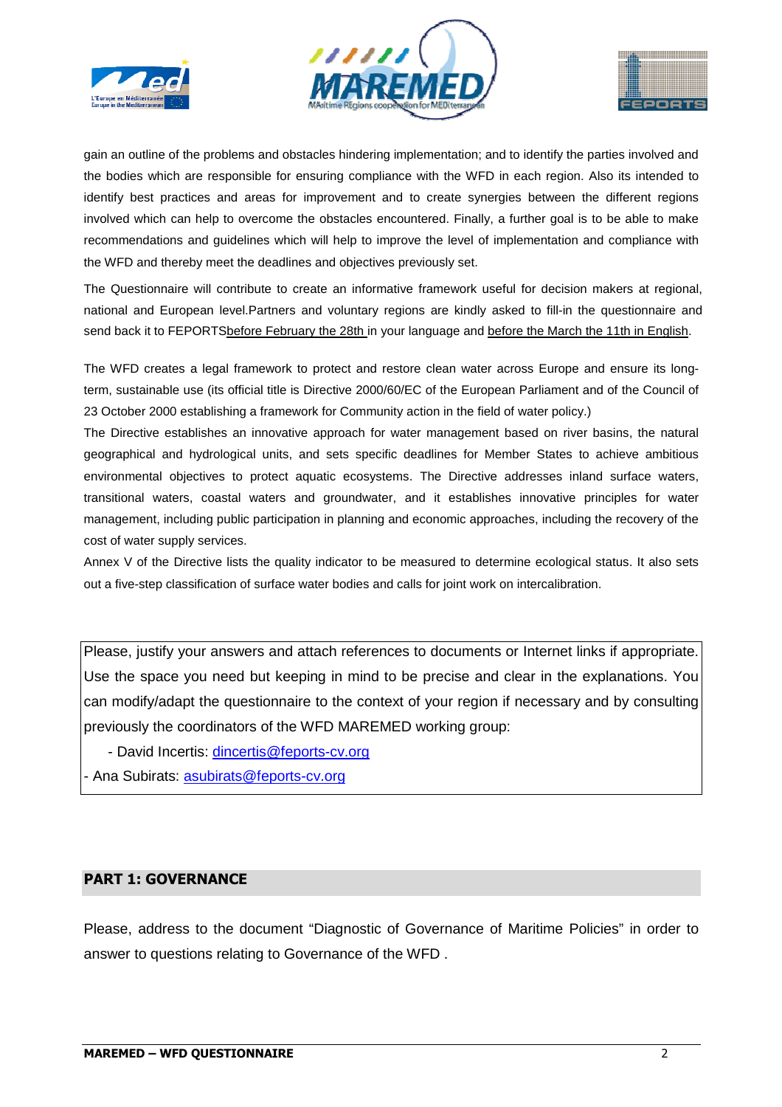





gain an outline of the problems and obstacles hindering implementation; and to identify the parties involved and the bodies which are responsible for ensuring compliance with the WFD in each region. Also its intended to identify best practices and areas for improvement and to create synergies between the different regions involved which can help to overcome the obstacles encountered. Finally, a further goal is to be able to make recommendations and guidelines which will help to improve the level of implementation and compliance with the WFD and thereby meet the deadlines and objectives previously set.

The Questionnaire will contribute to create an informative framework useful for decision makers at regional, national and European level.Partners and voluntary regions are kindly asked to fill-in the questionnaire and send back it to FEPORTSbefore February the 28th in your language and before the March the 11th in English.

The WFD creates a legal framework to protect and restore clean water across Europe and ensure its longterm, sustainable use (its official title is Directive 2000/60/EC of the European Parliament and of the Council of 23 October 2000 establishing a framework for Community action in the field of water policy.)

The Directive establishes an innovative approach for water management based on river basins, the natural geographical and hydrological units, and sets specific deadlines for Member States to achieve ambitious environmental objectives to protect aquatic ecosystems. The Directive addresses inland surface waters, transitional waters, coastal waters and groundwater, and it establishes innovative principles for water management, including public participation in planning and economic approaches, including the recovery of the cost of water supply services.

Annex V of the Directive lists the quality indicator to be measured to determine ecological status. It also sets out a five-step classification of surface water bodies and calls for joint work on intercalibration.

Please, justify your answers and attach references to documents or Internet links if appropriate. Use the space you need but keeping in mind to be precise and clear in the explanations. You can modify/adapt the questionnaire to the context of your region if necessary and by consulting previously the coordinators of the WFD MAREMED working group:

- David Incertis: dincertis@feports-cv.org
- Ana Subirats: asubirats@feports-cv.org

#### **PART 1: GOVERNANCE**

Please, address to the document "Diagnostic of Governance of Maritime Policies" in order to answer to questions relating to Governance of the WFD .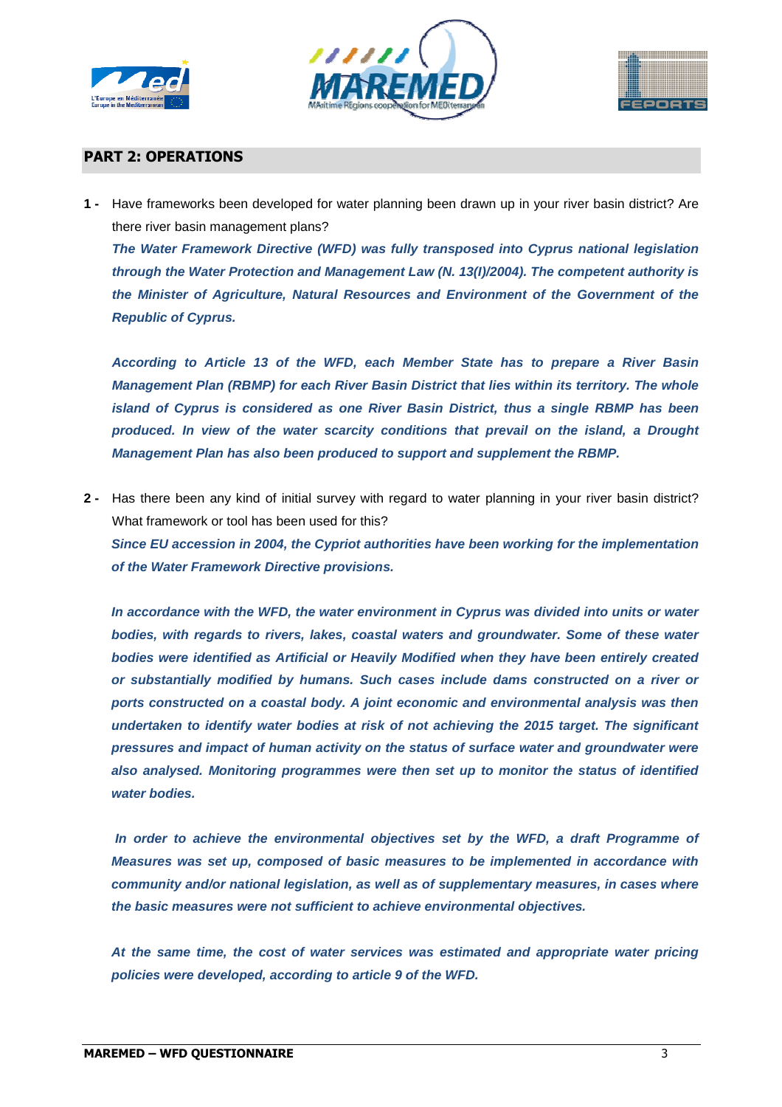





#### **PART 2: OPERATIONS**

**1 -** Have frameworks been developed for water planning been drawn up in your river basin district? Are there river basin management plans?

**The Water Framework Directive (WFD) was fully transposed into Cyprus national legislation through the Water Protection and Management Law (N. 13(I)/2004). The competent authority is the Minister of Agriculture, Natural Resources and Environment of the Government of the Republic of Cyprus.** 

**According to Article 13 of the WFD, each Member State has to prepare a River Basin Management Plan (RBMP) for each River Basin District that lies within its territory. The whole island of Cyprus is considered as one River Basin District, thus a single RBMP has been produced. In view of the water scarcity conditions that prevail on the island, a Drought Management Plan has also been produced to support and supplement the RBMP.** 

**2 -** Has there been any kind of initial survey with regard to water planning in your river basin district? What framework or tool has been used for this? **Since EU accession in 2004, the Cypriot authorities have been working for the implementation of the Water Framework Directive provisions.** 

**In accordance with the WFD, the water environment in Cyprus was divided into units or water bodies, with regards to rivers, lakes, coastal waters and groundwater. Some of these water bodies were identified as Artificial or Heavily Modified when they have been entirely created or substantially modified by humans. Such cases include dams constructed on a river or ports constructed on a coastal body. A joint economic and environmental analysis was then undertaken to identify water bodies at risk of not achieving the 2015 target. The significant pressures and impact of human activity on the status of surface water and groundwater were also analysed. Monitoring programmes were then set up to monitor the status of identified water bodies.** 

 **In order to achieve the environmental objectives set by the WFD, a draft Programme of Measures was set up, composed of basic measures to be implemented in accordance with community and/or national legislation, as well as of supplementary measures, in cases where the basic measures were not sufficient to achieve environmental objectives.** 

**At the same time, the cost of water services was estimated and appropriate water pricing policies were developed, according to article 9 of the WFD.**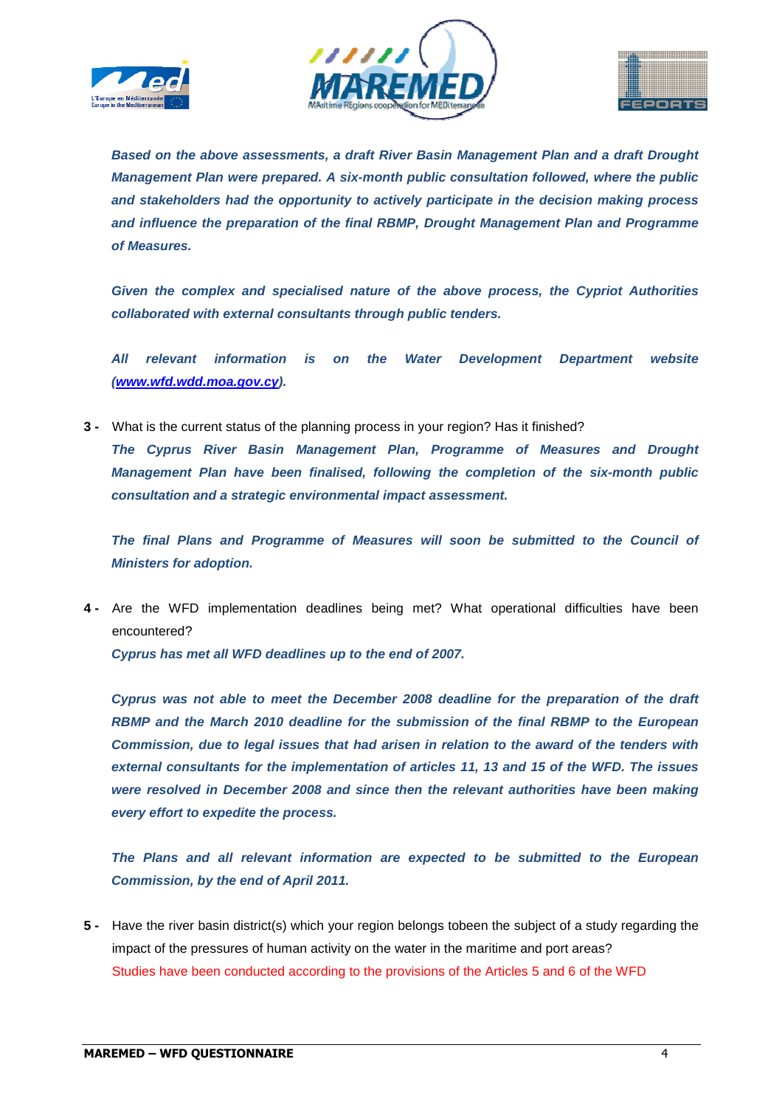





**Based on the above assessments, a draft River Basin Management Plan and a draft Drought Management Plan were prepared. A six-month public consultation followed, where the public and stakeholders had the opportunity to actively participate in the decision making process and influence the preparation of the final RBMP, Drought Management Plan and Programme of Measures.** 

**Given the complex and specialised nature of the above process, the Cypriot Authorities collaborated with external consultants through public tenders.** 

**All relevant information is on the Water Development Department website (www.wfd.wdd.moa.gov.cy).** 

**3 -** What is the current status of the planning process in your region? Has it finished?

**The Cyprus River Basin Management Plan, Programme of Measures and Drought Management Plan have been finalised, following the completion of the six-month public consultation and a strategic environmental impact assessment.** 

**The final Plans and Programme of Measures will soon be submitted to the Council of Ministers for adoption.** 

**4 -** Are the WFD implementation deadlines being met? What operational difficulties have been encountered?

**Cyprus has met all WFD deadlines up to the end of 2007.** 

**Cyprus was not able to meet the December 2008 deadline for the preparation of the draft RBMP and the March 2010 deadline for the submission of the final RBMP to the European Commission, due to legal issues that had arisen in relation to the award of the tenders with external consultants for the implementation of articles 11, 13 and 15 of the WFD. The issues were resolved in December 2008 and since then the relevant authorities have been making every effort to expedite the process.** 

**The Plans and all relevant information are expected to be submitted to the European Commission, by the end of April 2011.** 

**5 -** Have the river basin district(s) which your region belongs tobeen the subject of a study regarding the impact of the pressures of human activity on the water in the maritime and port areas? Studies have been conducted according to the provisions of the Articles 5 and 6 of the WFD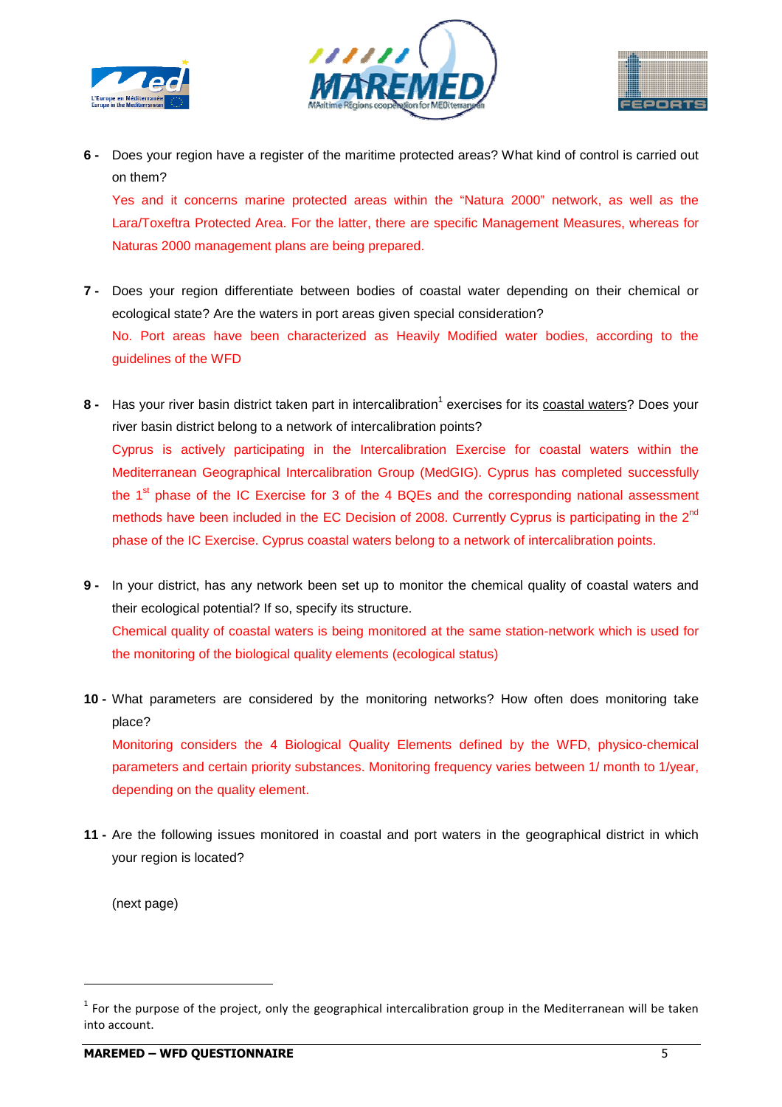





**6 -** Does your region have a register of the maritime protected areas? What kind of control is carried out on them?

Yes and it concerns marine protected areas within the "Natura 2000" network, as well as the Lara/Toxeftra Protected Area. For the latter, there are specific Management Measures, whereas for Naturas 2000 management plans are being prepared.

**7 -** Does your region differentiate between bodies of coastal water depending on their chemical or ecological state? Are the waters in port areas given special consideration? No. Port areas have been characterized as Heavily Modified water bodies, according to the guidelines of the WFD

8 - Has your river basin district taken part in intercalibration<sup>1</sup> exercises for its coastal waters? Does your river basin district belong to a network of intercalibration points? Cyprus is actively participating in the Intercalibration Exercise for coastal waters within the Mediterranean Geographical Intercalibration Group (MedGIG). Cyprus has completed successfully the  $1<sup>st</sup>$  phase of the IC Exercise for 3 of the 4 BQEs and the corresponding national assessment methods have been included in the EC Decision of 2008. Currently Cyprus is participating in the  $2^{nd}$ phase of the IC Exercise. Cyprus coastal waters belong to a network of intercalibration points.

- **9** In your district, has any network been set up to monitor the chemical quality of coastal waters and their ecological potential? If so, specify its structure. Chemical quality of coastal waters is being monitored at the same station-network which is used for the monitoring of the biological quality elements (ecological status)
- **10** What parameters are considered by the monitoring networks? How often does monitoring take place? Monitoring considers the 4 Biological Quality Elements defined by the WFD, physico-chemical parameters and certain priority substances. Monitoring frequency varies between 1/ month to 1/year, depending on the quality element.
- **11** Are the following issues monitored in coastal and port waters in the geographical district in which your region is located?

(next page)

l

 $1$  For the purpose of the project, only the geographical intercalibration group in the Mediterranean will be taken into account.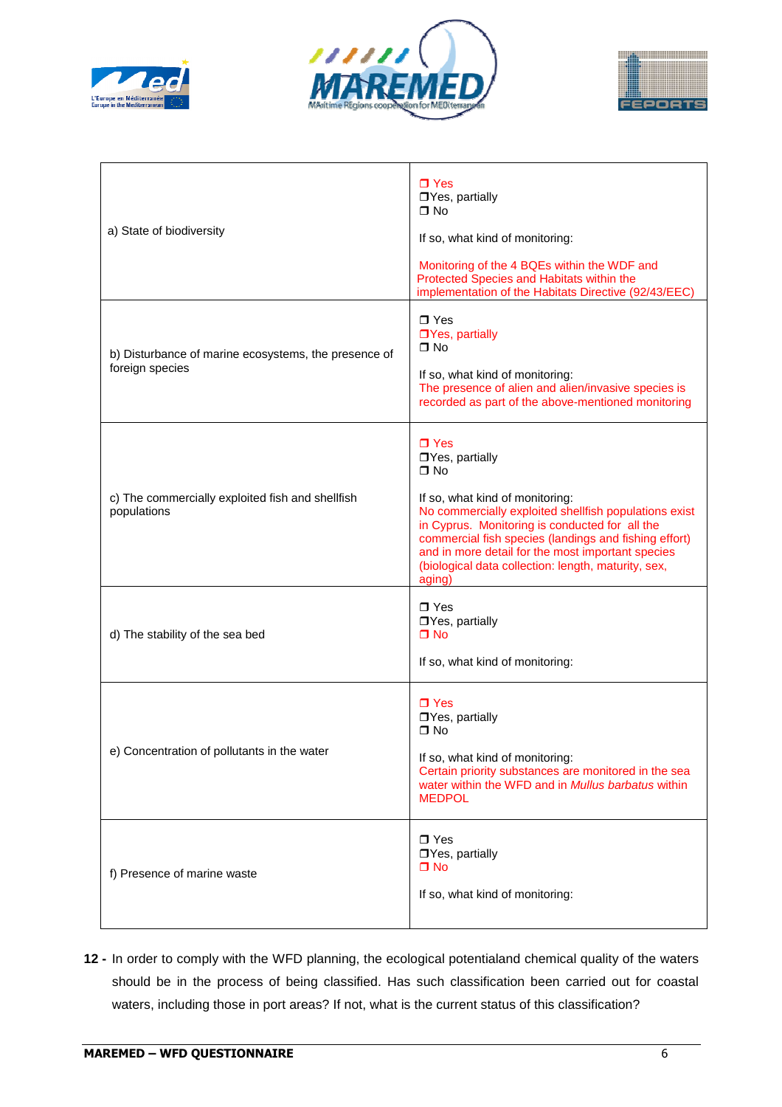





| a) State of biodiversity                                                | $\Box$ Yes<br>□Yes, partially<br>$\Box$ No<br>If so, what kind of monitoring:<br>Monitoring of the 4 BQEs within the WDF and<br>Protected Species and Habitats within the                                                                                                                                                                                              |
|-------------------------------------------------------------------------|------------------------------------------------------------------------------------------------------------------------------------------------------------------------------------------------------------------------------------------------------------------------------------------------------------------------------------------------------------------------|
| b) Disturbance of marine ecosystems, the presence of<br>foreign species | implementation of the Habitats Directive (92/43/EEC)<br>$\Box$ Yes<br>□Yes, partially<br>$\Box$ No<br>If so, what kind of monitoring:<br>The presence of alien and alien/invasive species is<br>recorded as part of the above-mentioned monitoring                                                                                                                     |
| c) The commercially exploited fish and shellfish<br>populations         | $\Box$ Yes<br>□Yes, partially<br>$\Pi$ No<br>If so, what kind of monitoring:<br>No commercially exploited shellfish populations exist<br>in Cyprus. Monitoring is conducted for all the<br>commercial fish species (landings and fishing effort)<br>and in more detail for the most important species<br>(biological data collection: length, maturity, sex,<br>aging) |
| d) The stability of the sea bed                                         | $\Box$ Yes<br>□Yes, partially<br>$\Box$ No<br>If so, what kind of monitoring:                                                                                                                                                                                                                                                                                          |
| e) Concentration of pollutants in the water                             | $\Box$ Yes<br>□Yes, partially<br>$\Box$ No<br>If so, what kind of monitoring:<br>Certain priority substances are monitored in the sea<br>water within the WFD and in Mullus barbatus within<br><b>MEDPOL</b>                                                                                                                                                           |
| f) Presence of marine waste                                             | $\Box$ Yes<br>□Yes, partially<br>$\Box$ No<br>If so, what kind of monitoring:                                                                                                                                                                                                                                                                                          |

**12 -** In order to comply with the WFD planning, the ecological potentialand chemical quality of the waters should be in the process of being classified. Has such classification been carried out for coastal waters, including those in port areas? If not, what is the current status of this classification?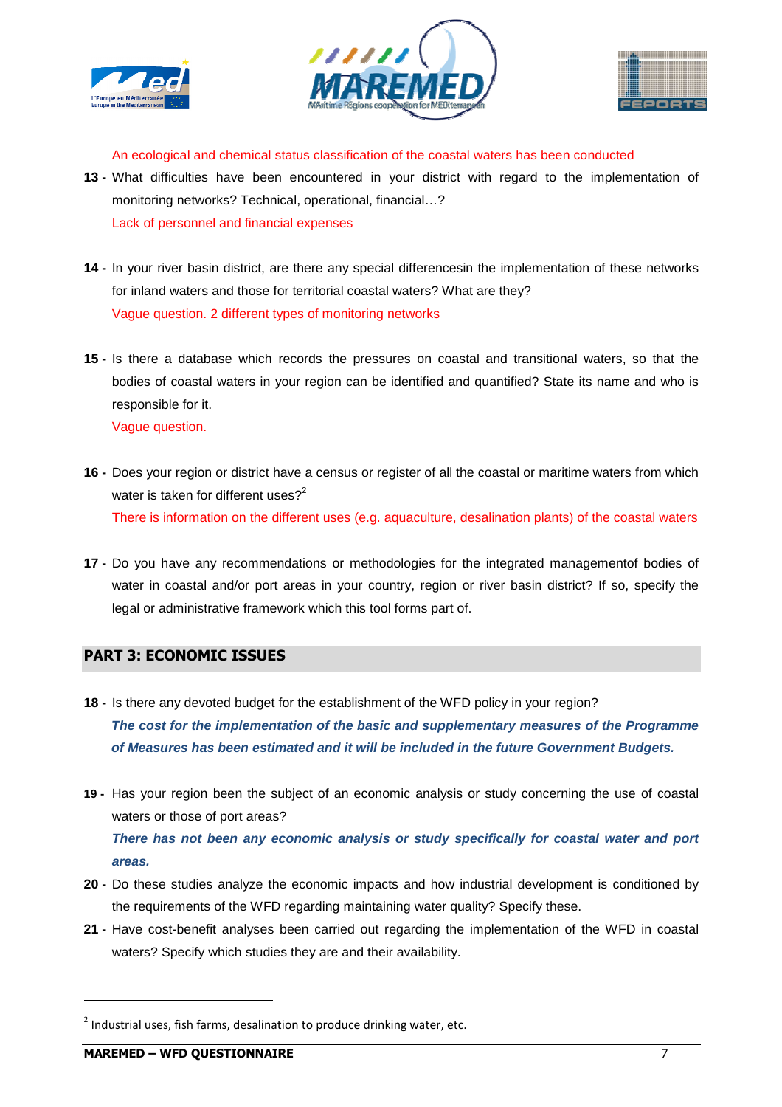





An ecological and chemical status classification of the coastal waters has been conducted

- **13** What difficulties have been encountered in your district with regard to the implementation of monitoring networks? Technical, operational, financial…? Lack of personnel and financial expenses
- **14** In your river basin district, are there any special differencesin the implementation of these networks for inland waters and those for territorial coastal waters? What are they? Vague question. 2 different types of monitoring networks
- **15** Is there a database which records the pressures on coastal and transitional waters, so that the bodies of coastal waters in your region can be identified and quantified? State its name and who is responsible for it. Vague question.
- **16** Does your region or district have a census or register of all the coastal or maritime waters from which water is taken for different uses? $2^2$ There is information on the different uses (e.g. aquaculture, desalination plants) of the coastal waters
- **17** Do you have any recommendations or methodologies for the integrated managementof bodies of water in coastal and/or port areas in your country, region or river basin district? If so, specify the legal or administrative framework which this tool forms part of.

## **PART 3: ECONOMIC ISSUES**

- **18** Is there any devoted budget for the establishment of the WFD policy in your region? **The cost for the implementation of the basic and supplementary measures of the Programme of Measures has been estimated and it will be included in the future Government Budgets.**
- **19** Has your region been the subject of an economic analysis or study concerning the use of coastal waters or those of port areas? **There has not been any economic analysis or study specifically for coastal water and port areas.**
- **20** Do these studies analyze the economic impacts and how industrial development is conditioned by the requirements of the WFD regarding maintaining water quality? Specify these.
- **21** Have cost-benefit analyses been carried out regarding the implementation of the WFD in coastal waters? Specify which studies they are and their availability.

 $\overline{a}$ 

 $^2$  Industrial uses, fish farms, desalination to produce drinking water, etc.